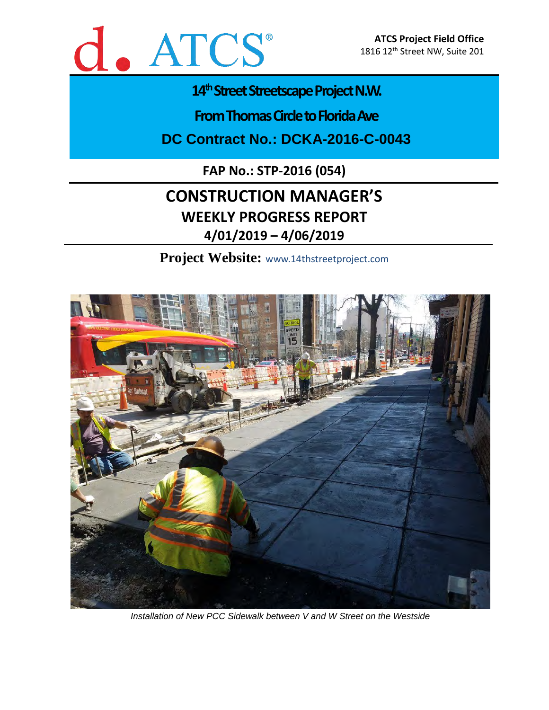

## 14<sup>th</sup> Street Streetscape Project N.W.

**From Thomas Circle to Florida Ave** 

**DC Contract No.: DCKA-2016-C-0043**

**FAP No.: STP-2016 (054)**

# **CONSTRUCTION MANAGER'S WEEKLY PROGRESS REPORT 4/01/2019 – 4/06/2019**

**Project Website:** www.14thstreetproject.com



*Installation of New PCC Sidewalk between V and W Street on the Westside*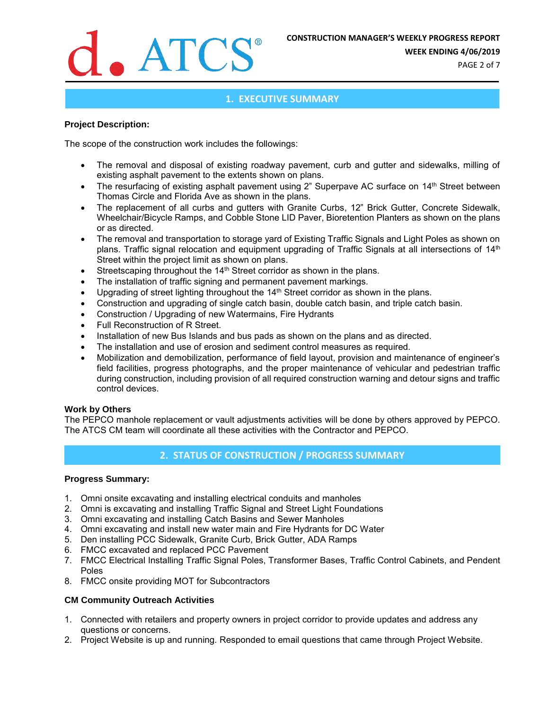

**WEEK ENDING 4/06/2019**

PAGE 2 of 7

### **1. EXECUTIVE SUMMARY**

#### **Project Description:**

The scope of the construction work includes the followings:

- The removal and disposal of existing roadway pavement, curb and gutter and sidewalks, milling of existing asphalt pavement to the extents shown on plans.
- The resurfacing of existing asphalt pavement using 2" Superpave AC surface on 14<sup>th</sup> Street between Thomas Circle and Florida Ave as shown in the plans.
- The replacement of all curbs and gutters with Granite Curbs, 12" Brick Gutter, Concrete Sidewalk, Wheelchair/Bicycle Ramps, and Cobble Stone LID Paver, Bioretention Planters as shown on the plans or as directed.
- The removal and transportation to storage yard of Existing Traffic Signals and Light Poles as shown on plans. Traffic signal relocation and equipment upgrading of Traffic Signals at all intersections of 14<sup>th</sup> Street within the project limit as shown on plans.
- Streetscaping throughout the 14<sup>th</sup> Street corridor as shown in the plans.
- The installation of traffic signing and permanent pavement markings.
- Upgrading of street lighting throughout the 14<sup>th</sup> Street corridor as shown in the plans.
- Construction and upgrading of single catch basin, double catch basin, and triple catch basin.
- Construction / Upgrading of new Watermains, Fire Hydrants
- Full Reconstruction of R Street.
- Installation of new Bus Islands and bus pads as shown on the plans and as directed.
- The installation and use of erosion and sediment control measures as required.
- Mobilization and demobilization, performance of field layout, provision and maintenance of engineer's field facilities, progress photographs, and the proper maintenance of vehicular and pedestrian traffic during construction, including provision of all required construction warning and detour signs and traffic control devices.

#### **Work by Others**

The PEPCO manhole replacement or vault adjustments activities will be done by others approved by PEPCO. The ATCS CM team will coordinate all these activities with the Contractor and PEPCO.

### **2. STATUS OF CONSTRUCTION / PROGRESS SUMMARY**

#### **Progress Summary:**

- 1. Omni onsite excavating and installing electrical conduits and manholes
- 2. Omni is excavating and installing Traffic Signal and Street Light Foundations
- 3. Omni excavating and installing Catch Basins and Sewer Manholes
- 4. Omni excavating and install new water main and Fire Hydrants for DC Water
- 5. Den installing PCC Sidewalk, Granite Curb, Brick Gutter, ADA Ramps
- 6. FMCC excavated and replaced PCC Pavement
- 7. FMCC Electrical Installing Traffic Signal Poles, Transformer Bases, Traffic Control Cabinets, and Pendent Poles
- 8. FMCC onsite providing MOT for Subcontractors

#### **CM Community Outreach Activities**

- 1. Connected with retailers and property owners in project corridor to provide updates and address any questions or concerns.
- 2. Project Website is up and running. Responded to email questions that came through Project Website.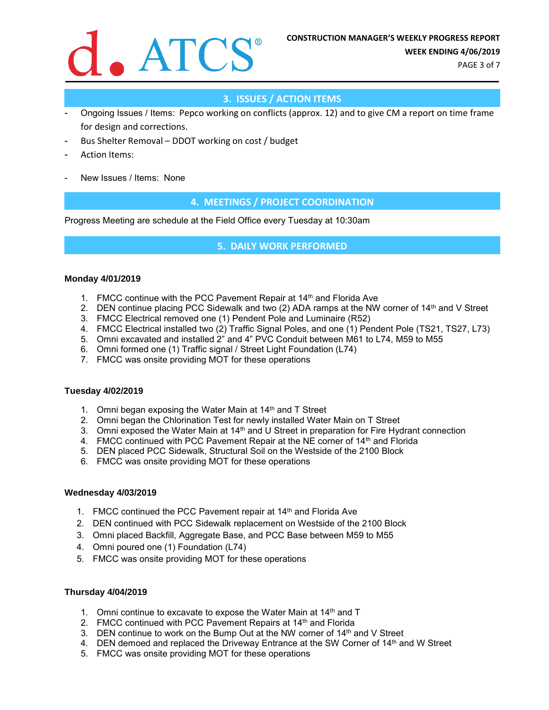

PAGE 3 of 7

## **3. ISSUES / ACTION ITEMS**

- Ongoing Issues / Items: Pepco working on conflicts (approx. 12) and to give CM a report on time frame for design and corrections.
- Bus Shelter Removal DDOT working on cost / budget
- Action Items:
- New Issues / Items: None

### **4. MEETINGS / PROJECT COORDINATION**

Progress Meeting are schedule at the Field Office every Tuesday at 10:30am

#### **5. DAILY WORK PERFORMED**

#### **Monday 4/01/2019**

- 1. FMCC continue with the PCC Pavement Repair at 14<sup>th</sup> and Florida Ave
- 2. DEN continue placing PCC Sidewalk and two (2) ADA ramps at the NW corner of 14<sup>th</sup> and V Street
- 3. FMCC Electrical removed one (1) Pendent Pole and Luminaire (R52)
- 4. FMCC Electrical installed two (2) Traffic Signal Poles, and one (1) Pendent Pole (TS21, TS27, L73)
- 5. Omni excavated and installed 2" and 4" PVC Conduit between M61 to L74, M59 to M55
- 6. Omni formed one (1) Traffic signal / Street Light Foundation (L74)
- 7. FMCC was onsite providing MOT for these operations

#### **Tuesday 4/02/2019**

- 1. Omni began exposing the Water Main at  $14<sup>th</sup>$  and T Street
- 2. Omni began the Chlorination Test for newly installed Water Main on T Street
- 3. Omni exposed the Water Main at 14<sup>th</sup> and U Street in preparation for Fire Hydrant connection
- 4. FMCC continued with PCC Pavement Repair at the NE corner of 14th and Florida
- 5. DEN placed PCC Sidewalk, Structural Soil on the Westside of the 2100 Block
- 6. FMCC was onsite providing MOT for these operations

#### **Wednesday 4/03/2019**

- 1. FMCC continued the PCC Pavement repair at 14<sup>th</sup> and Florida Ave
- 2. DEN continued with PCC Sidewalk replacement on Westside of the 2100 Block
- 3. Omni placed Backfill, Aggregate Base, and PCC Base between M59 to M55
- 4. Omni poured one (1) Foundation (L74)
- 5. FMCC was onsite providing MOT for these operations

#### **Thursday 4/04/2019**

- 1. Omni continue to excavate to expose the Water Main at 14<sup>th</sup> and T
- 2. FMCC continued with PCC Pavement Repairs at 14<sup>th</sup> and Florida
- 3. DEN continue to work on the Bump Out at the NW corner of 14th and V Street
- 4. DEN demoed and replaced the Driveway Entrance at the SW Corner of 14<sup>th</sup> and W Street
- 5. FMCC was onsite providing MOT for these operations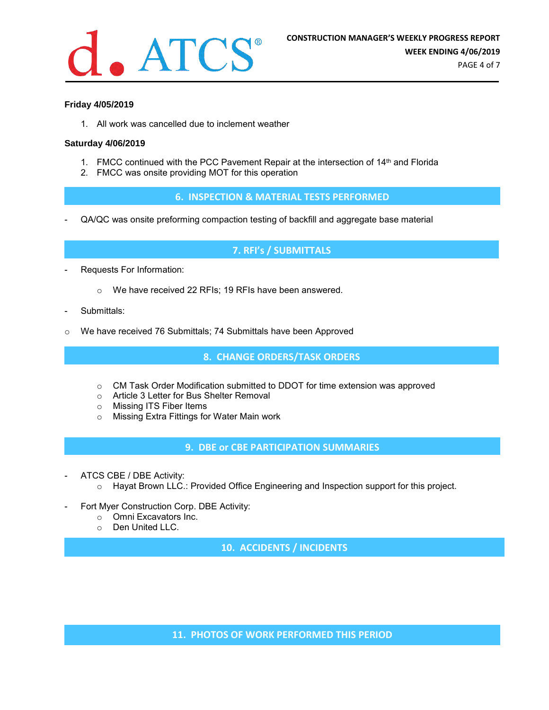

#### **Friday 4/05/2019**

1. All work was cancelled due to inclement weather

#### **Saturday 4/06/2019**

- 1. FMCC continued with the PCC Pavement Repair at the intersection of 14<sup>th</sup> and Florida
- 2. FMCC was onsite providing MOT for this operation

**6. INSPECTION & MATERIAL TESTS PERFORMED**

- QA/QC was onsite preforming compaction testing of backfill and aggregate base material

#### **7. RFI's / SUBMITTALS**

- Requests For Information:
	- o We have received 22 RFIs; 19 RFIs have been answered.
- Submittals:
- o We have received 76 Submittals; 74 Submittals have been Approved

**8. CHANGE ORDERS/TASK ORDERS**

- $\circ$  CM Task Order Modification submitted to DDOT for time extension was approved
- o Article 3 Letter for Bus Shelter Removal
- o Missing ITS Fiber Items
- o Missing Extra Fittings for Water Main work

**9. DBE or CBE PARTICIPATION SUMMARIES**

- ATCS CBE / DBE Activity:
	- o Hayat Brown LLC.: Provided Office Engineering and Inspection support for this project.
- Fort Myer Construction Corp. DBE Activity:
	- o Omni Excavators Inc.
	- o Den United LLC.

**10. ACCIDENTS / INCIDENTS**

**11. PHOTOS OF WORK PERFORMED THIS PERIOD**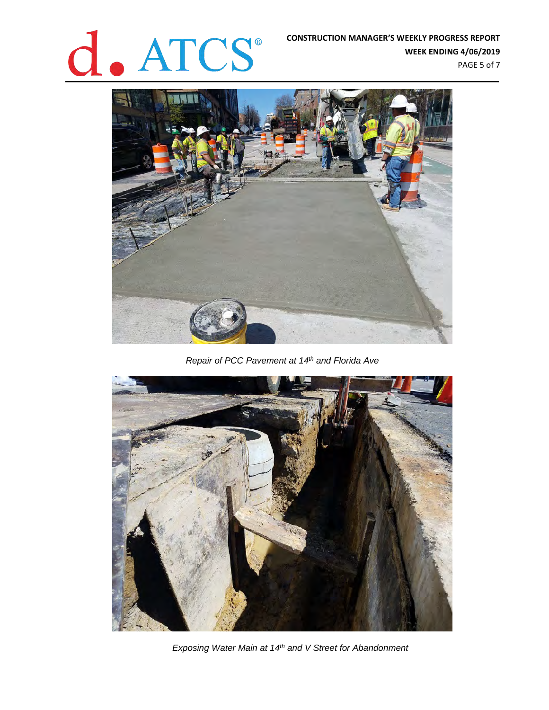# **CONSTRUCTION MANAGER'S WEEKLY PROGRESS REPORT**<br>WEEK ENDING 4/06/2019

**WEEK ENDING 4/06/2019** PAGE 5 of 7



*Repair of PCC Pavement at 14th and Florida Ave*



*Exposing Water Main at 14th and V Street for Abandonment*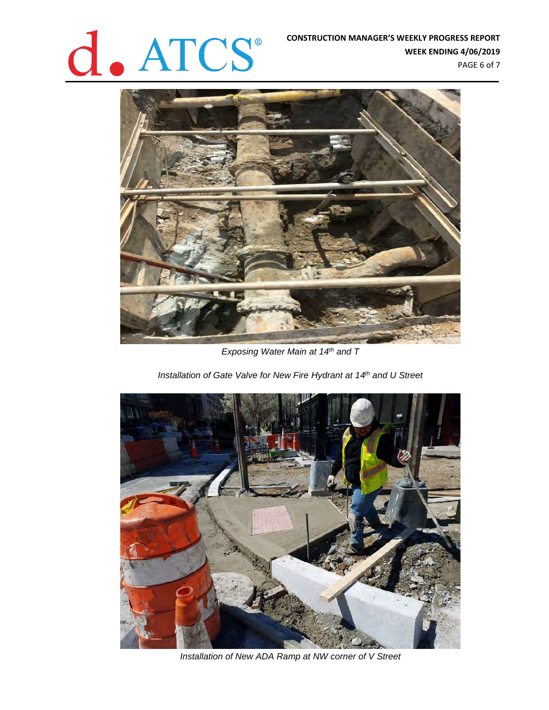# **CONSTRUCTION MANAGER'S WEEKLY PROGRESS REPORT**<br>WEEK ENDING 4/06/2019

**WEEK ENDING 4/06/2019**

PAGE 6 of 7



*Exposing Water Main at 14th and T* 

*Installation of Gate Valve for New Fire Hydrant at 14th and U Street*



*Installation of New ADA Ramp at NW corner of V Street*